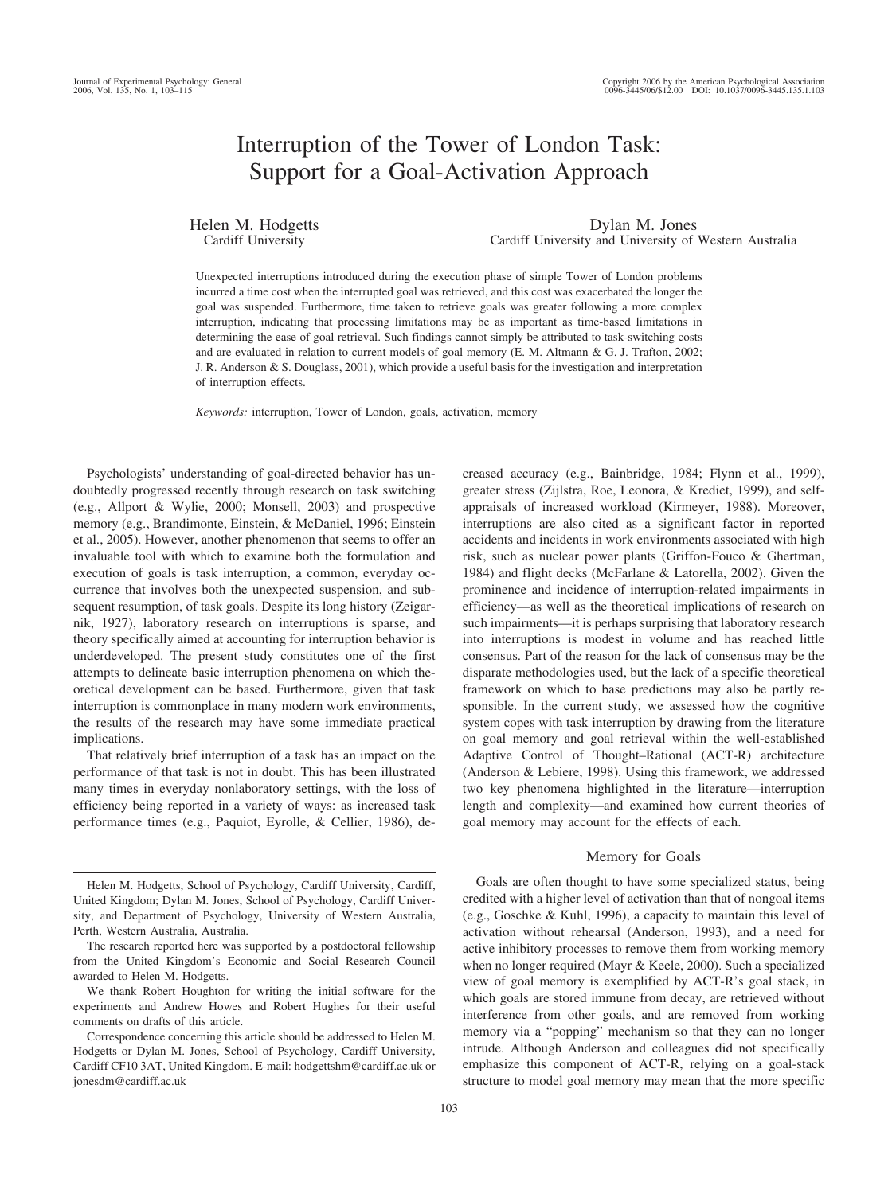# Interruption of the Tower of London Task: Support for a Goal-Activation Approach

Helen M. Hodgetts Cardiff University

Dylan M. Jones Cardiff University and University of Western Australia

Unexpected interruptions introduced during the execution phase of simple Tower of London problems incurred a time cost when the interrupted goal was retrieved, and this cost was exacerbated the longer the goal was suspended. Furthermore, time taken to retrieve goals was greater following a more complex interruption, indicating that processing limitations may be as important as time-based limitations in determining the ease of goal retrieval. Such findings cannot simply be attributed to task-switching costs and are evaluated in relation to current models of goal memory (E. M. Altmann & G. J. Trafton, 2002; J. R. Anderson & S. Douglass, 2001), which provide a useful basis for the investigation and interpretation of interruption effects.

*Keywords:* interruption, Tower of London, goals, activation, memory

Psychologists' understanding of goal-directed behavior has undoubtedly progressed recently through research on task switching (e.g., Allport & Wylie, 2000; Monsell, 2003) and prospective memory (e.g., Brandimonte, Einstein, & McDaniel, 1996; Einstein et al., 2005). However, another phenomenon that seems to offer an invaluable tool with which to examine both the formulation and execution of goals is task interruption, a common, everyday occurrence that involves both the unexpected suspension, and subsequent resumption, of task goals. Despite its long history (Zeigarnik, 1927), laboratory research on interruptions is sparse, and theory specifically aimed at accounting for interruption behavior is underdeveloped. The present study constitutes one of the first attempts to delineate basic interruption phenomena on which theoretical development can be based. Furthermore, given that task interruption is commonplace in many modern work environments, the results of the research may have some immediate practical implications.

That relatively brief interruption of a task has an impact on the performance of that task is not in doubt. This has been illustrated many times in everyday nonlaboratory settings, with the loss of efficiency being reported in a variety of ways: as increased task performance times (e.g., Paquiot, Eyrolle, & Cellier, 1986), de-

We thank Robert Houghton for writing the initial software for the experiments and Andrew Howes and Robert Hughes for their useful comments on drafts of this article.

creased accuracy (e.g., Bainbridge, 1984; Flynn et al., 1999), greater stress (Zijlstra, Roe, Leonora, & Krediet, 1999), and selfappraisals of increased workload (Kirmeyer, 1988). Moreover, interruptions are also cited as a significant factor in reported accidents and incidents in work environments associated with high risk, such as nuclear power plants (Griffon-Fouco & Ghertman, 1984) and flight decks (McFarlane & Latorella, 2002). Given the prominence and incidence of interruption-related impairments in efficiency—as well as the theoretical implications of research on such impairments—it is perhaps surprising that laboratory research into interruptions is modest in volume and has reached little consensus. Part of the reason for the lack of consensus may be the disparate methodologies used, but the lack of a specific theoretical framework on which to base predictions may also be partly responsible. In the current study, we assessed how the cognitive system copes with task interruption by drawing from the literature on goal memory and goal retrieval within the well-established Adaptive Control of Thought–Rational (ACT-R) architecture (Anderson & Lebiere, 1998). Using this framework, we addressed two key phenomena highlighted in the literature—interruption length and complexity—and examined how current theories of goal memory may account for the effects of each.

#### Memory for Goals

Goals are often thought to have some specialized status, being credited with a higher level of activation than that of nongoal items (e.g., Goschke & Kuhl, 1996), a capacity to maintain this level of activation without rehearsal (Anderson, 1993), and a need for active inhibitory processes to remove them from working memory when no longer required (Mayr & Keele, 2000). Such a specialized view of goal memory is exemplified by ACT-R's goal stack, in which goals are stored immune from decay, are retrieved without interference from other goals, and are removed from working memory via a "popping" mechanism so that they can no longer intrude. Although Anderson and colleagues did not specifically emphasize this component of ACT-R, relying on a goal-stack structure to model goal memory may mean that the more specific

Helen M. Hodgetts, School of Psychology, Cardiff University, Cardiff, United Kingdom; Dylan M. Jones, School of Psychology, Cardiff University, and Department of Psychology, University of Western Australia, Perth, Western Australia, Australia.

The research reported here was supported by a postdoctoral fellowship from the United Kingdom's Economic and Social Research Council awarded to Helen M. Hodgetts.

Correspondence concerning this article should be addressed to Helen M. Hodgetts or Dylan M. Jones, School of Psychology, Cardiff University, Cardiff CF10 3AT, United Kingdom. E-mail: hodgettshm@cardiff.ac.uk or jonesdm@cardiff.ac.uk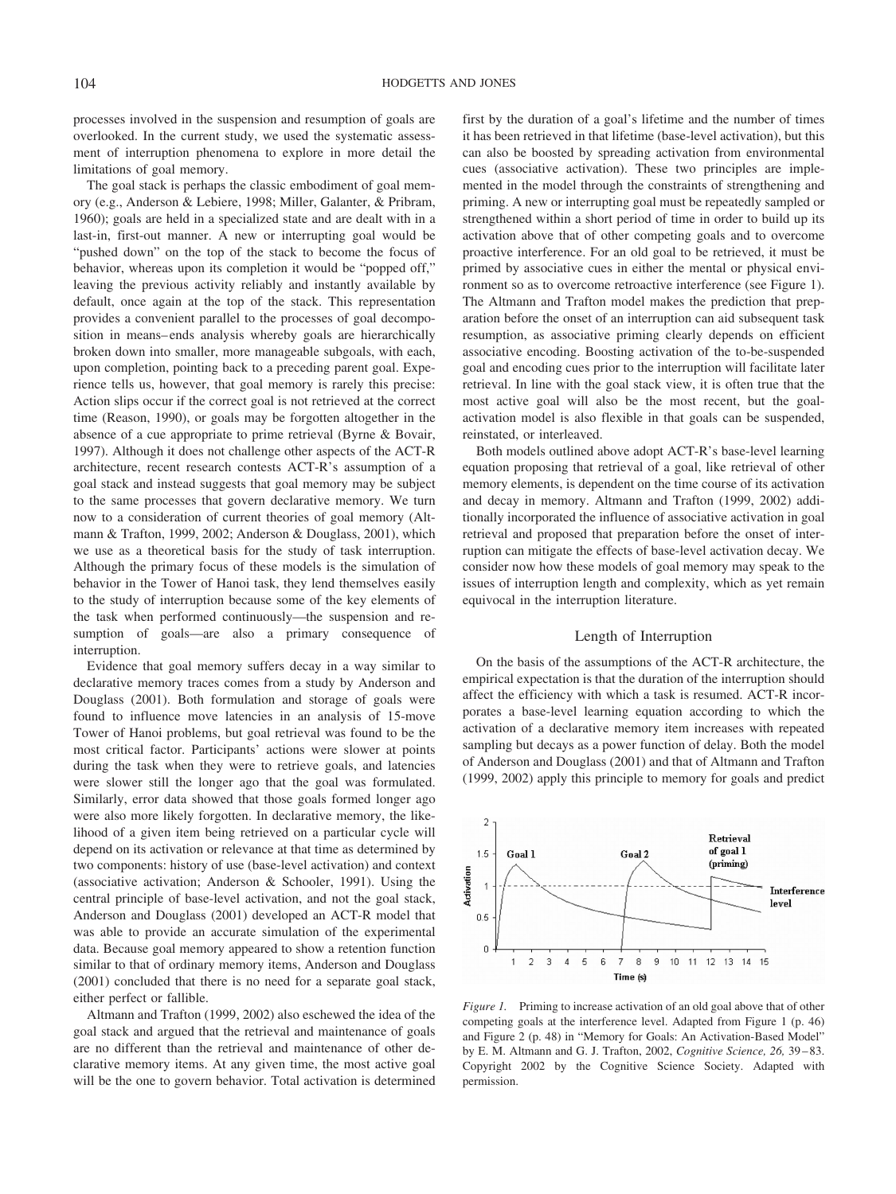processes involved in the suspension and resumption of goals are overlooked. In the current study, we used the systematic assessment of interruption phenomena to explore in more detail the limitations of goal memory.

The goal stack is perhaps the classic embodiment of goal memory (e.g., Anderson & Lebiere, 1998; Miller, Galanter, & Pribram, 1960); goals are held in a specialized state and are dealt with in a last-in, first-out manner. A new or interrupting goal would be "pushed down" on the top of the stack to become the focus of behavior, whereas upon its completion it would be "popped off," leaving the previous activity reliably and instantly available by default, once again at the top of the stack. This representation provides a convenient parallel to the processes of goal decomposition in means– ends analysis whereby goals are hierarchically broken down into smaller, more manageable subgoals, with each, upon completion, pointing back to a preceding parent goal. Experience tells us, however, that goal memory is rarely this precise: Action slips occur if the correct goal is not retrieved at the correct time (Reason, 1990), or goals may be forgotten altogether in the absence of a cue appropriate to prime retrieval (Byrne & Bovair, 1997). Although it does not challenge other aspects of the ACT-R architecture, recent research contests ACT-R's assumption of a goal stack and instead suggests that goal memory may be subject to the same processes that govern declarative memory. We turn now to a consideration of current theories of goal memory (Altmann & Trafton, 1999, 2002; Anderson & Douglass, 2001), which we use as a theoretical basis for the study of task interruption. Although the primary focus of these models is the simulation of behavior in the Tower of Hanoi task, they lend themselves easily to the study of interruption because some of the key elements of the task when performed continuously—the suspension and resumption of goals—are also a primary consequence of interruption.

Evidence that goal memory suffers decay in a way similar to declarative memory traces comes from a study by Anderson and Douglass (2001). Both formulation and storage of goals were found to influence move latencies in an analysis of 15-move Tower of Hanoi problems, but goal retrieval was found to be the most critical factor. Participants' actions were slower at points during the task when they were to retrieve goals, and latencies were slower still the longer ago that the goal was formulated. Similarly, error data showed that those goals formed longer ago were also more likely forgotten. In declarative memory, the likelihood of a given item being retrieved on a particular cycle will depend on its activation or relevance at that time as determined by two components: history of use (base-level activation) and context (associative activation; Anderson & Schooler, 1991). Using the central principle of base-level activation, and not the goal stack, Anderson and Douglass (2001) developed an ACT-R model that was able to provide an accurate simulation of the experimental data. Because goal memory appeared to show a retention function similar to that of ordinary memory items, Anderson and Douglass (2001) concluded that there is no need for a separate goal stack, either perfect or fallible.

Altmann and Trafton (1999, 2002) also eschewed the idea of the goal stack and argued that the retrieval and maintenance of goals are no different than the retrieval and maintenance of other declarative memory items. At any given time, the most active goal will be the one to govern behavior. Total activation is determined first by the duration of a goal's lifetime and the number of times it has been retrieved in that lifetime (base-level activation), but this can also be boosted by spreading activation from environmental cues (associative activation). These two principles are implemented in the model through the constraints of strengthening and priming. A new or interrupting goal must be repeatedly sampled or strengthened within a short period of time in order to build up its activation above that of other competing goals and to overcome proactive interference. For an old goal to be retrieved, it must be primed by associative cues in either the mental or physical environment so as to overcome retroactive interference (see Figure 1). The Altmann and Trafton model makes the prediction that preparation before the onset of an interruption can aid subsequent task resumption, as associative priming clearly depends on efficient associative encoding. Boosting activation of the to-be-suspended goal and encoding cues prior to the interruption will facilitate later retrieval. In line with the goal stack view, it is often true that the most active goal will also be the most recent, but the goalactivation model is also flexible in that goals can be suspended, reinstated, or interleaved.

Both models outlined above adopt ACT-R's base-level learning equation proposing that retrieval of a goal, like retrieval of other memory elements, is dependent on the time course of its activation and decay in memory. Altmann and Trafton (1999, 2002) additionally incorporated the influence of associative activation in goal retrieval and proposed that preparation before the onset of interruption can mitigate the effects of base-level activation decay. We consider now how these models of goal memory may speak to the issues of interruption length and complexity, which as yet remain equivocal in the interruption literature.

#### Length of Interruption

On the basis of the assumptions of the ACT-R architecture, the empirical expectation is that the duration of the interruption should affect the efficiency with which a task is resumed. ACT-R incorporates a base-level learning equation according to which the activation of a declarative memory item increases with repeated sampling but decays as a power function of delay. Both the model of Anderson and Douglass (2001) and that of Altmann and Trafton (1999, 2002) apply this principle to memory for goals and predict



*Figure 1.* Priming to increase activation of an old goal above that of other competing goals at the interference level. Adapted from Figure 1 (p. 46) and Figure 2 (p. 48) in "Memory for Goals: An Activation-Based Model" by E. M. Altmann and G. J. Trafton, 2002, *Cognitive Science, 26,* 39 – 83. Copyright 2002 by the Cognitive Science Society. Adapted with permission.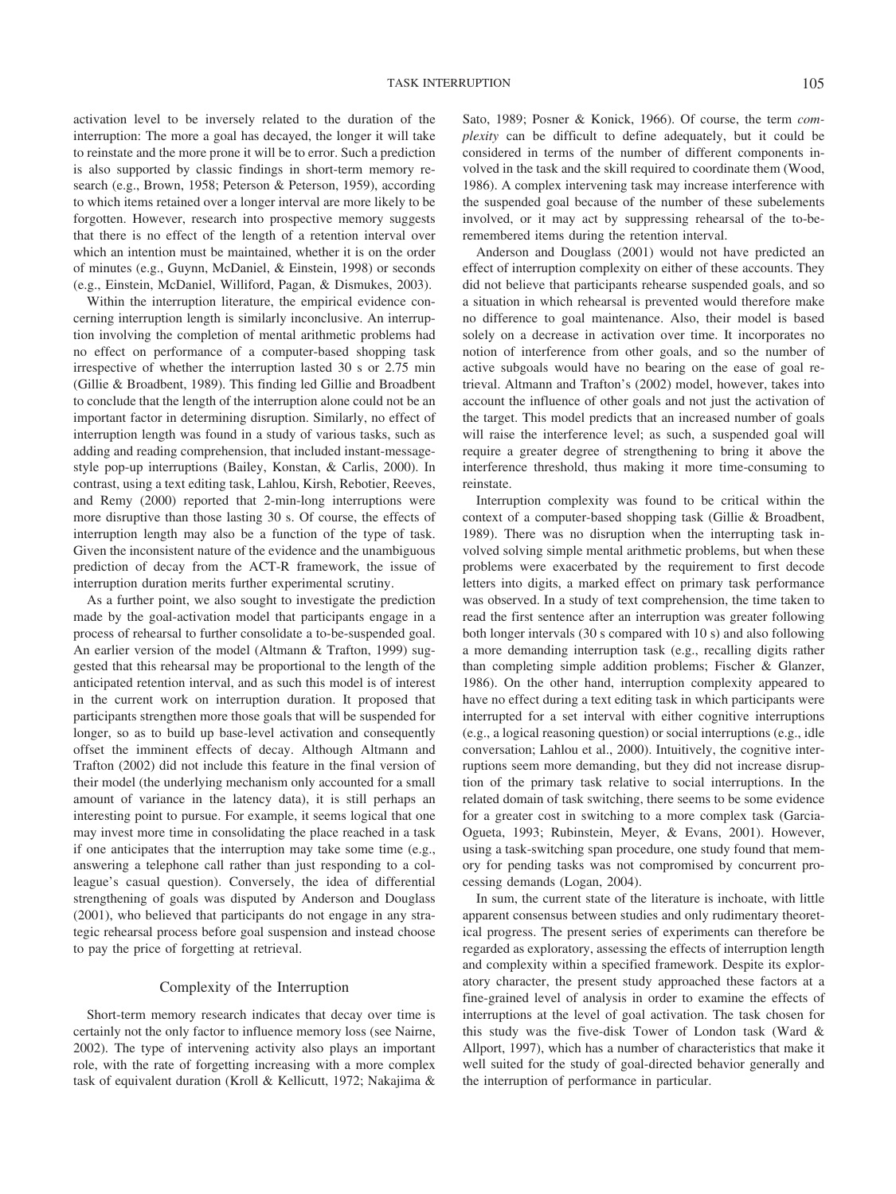activation level to be inversely related to the duration of the interruption: The more a goal has decayed, the longer it will take to reinstate and the more prone it will be to error. Such a prediction is also supported by classic findings in short-term memory research (e.g., Brown, 1958; Peterson & Peterson, 1959), according to which items retained over a longer interval are more likely to be forgotten. However, research into prospective memory suggests that there is no effect of the length of a retention interval over which an intention must be maintained, whether it is on the order of minutes (e.g., Guynn, McDaniel, & Einstein, 1998) or seconds (e.g., Einstein, McDaniel, Williford, Pagan, & Dismukes, 2003).

Within the interruption literature, the empirical evidence concerning interruption length is similarly inconclusive. An interruption involving the completion of mental arithmetic problems had no effect on performance of a computer-based shopping task irrespective of whether the interruption lasted 30 s or 2.75 min (Gillie & Broadbent, 1989). This finding led Gillie and Broadbent to conclude that the length of the interruption alone could not be an important factor in determining disruption. Similarly, no effect of interruption length was found in a study of various tasks, such as adding and reading comprehension, that included instant-messagestyle pop-up interruptions (Bailey, Konstan, & Carlis, 2000). In contrast, using a text editing task, Lahlou, Kirsh, Rebotier, Reeves, and Remy (2000) reported that 2-min-long interruptions were more disruptive than those lasting 30 s. Of course, the effects of interruption length may also be a function of the type of task. Given the inconsistent nature of the evidence and the unambiguous prediction of decay from the ACT-R framework, the issue of interruption duration merits further experimental scrutiny.

As a further point, we also sought to investigate the prediction made by the goal-activation model that participants engage in a process of rehearsal to further consolidate a to-be-suspended goal. An earlier version of the model (Altmann & Trafton, 1999) suggested that this rehearsal may be proportional to the length of the anticipated retention interval, and as such this model is of interest in the current work on interruption duration. It proposed that participants strengthen more those goals that will be suspended for longer, so as to build up base-level activation and consequently offset the imminent effects of decay. Although Altmann and Trafton (2002) did not include this feature in the final version of their model (the underlying mechanism only accounted for a small amount of variance in the latency data), it is still perhaps an interesting point to pursue. For example, it seems logical that one may invest more time in consolidating the place reached in a task if one anticipates that the interruption may take some time (e.g., answering a telephone call rather than just responding to a colleague's casual question). Conversely, the idea of differential strengthening of goals was disputed by Anderson and Douglass (2001), who believed that participants do not engage in any strategic rehearsal process before goal suspension and instead choose to pay the price of forgetting at retrieval.

#### Complexity of the Interruption

Short-term memory research indicates that decay over time is certainly not the only factor to influence memory loss (see Nairne, 2002). The type of intervening activity also plays an important role, with the rate of forgetting increasing with a more complex task of equivalent duration (Kroll & Kellicutt, 1972; Nakajima & Sato, 1989; Posner & Konick, 1966). Of course, the term *complexity* can be difficult to define adequately, but it could be considered in terms of the number of different components involved in the task and the skill required to coordinate them (Wood, 1986). A complex intervening task may increase interference with the suspended goal because of the number of these subelements involved, or it may act by suppressing rehearsal of the to-beremembered items during the retention interval.

Anderson and Douglass (2001) would not have predicted an effect of interruption complexity on either of these accounts. They did not believe that participants rehearse suspended goals, and so a situation in which rehearsal is prevented would therefore make no difference to goal maintenance. Also, their model is based solely on a decrease in activation over time. It incorporates no notion of interference from other goals, and so the number of active subgoals would have no bearing on the ease of goal retrieval. Altmann and Trafton's (2002) model, however, takes into account the influence of other goals and not just the activation of the target. This model predicts that an increased number of goals will raise the interference level; as such, a suspended goal will require a greater degree of strengthening to bring it above the interference threshold, thus making it more time-consuming to reinstate.

Interruption complexity was found to be critical within the context of a computer-based shopping task (Gillie & Broadbent, 1989). There was no disruption when the interrupting task involved solving simple mental arithmetic problems, but when these problems were exacerbated by the requirement to first decode letters into digits, a marked effect on primary task performance was observed. In a study of text comprehension, the time taken to read the first sentence after an interruption was greater following both longer intervals (30 s compared with 10 s) and also following a more demanding interruption task (e.g., recalling digits rather than completing simple addition problems; Fischer & Glanzer, 1986). On the other hand, interruption complexity appeared to have no effect during a text editing task in which participants were interrupted for a set interval with either cognitive interruptions (e.g., a logical reasoning question) or social interruptions (e.g., idle conversation; Lahlou et al., 2000). Intuitively, the cognitive interruptions seem more demanding, but they did not increase disruption of the primary task relative to social interruptions. In the related domain of task switching, there seems to be some evidence for a greater cost in switching to a more complex task (Garcia-Ogueta, 1993; Rubinstein, Meyer, & Evans, 2001). However, using a task-switching span procedure, one study found that memory for pending tasks was not compromised by concurrent processing demands (Logan, 2004).

In sum, the current state of the literature is inchoate, with little apparent consensus between studies and only rudimentary theoretical progress. The present series of experiments can therefore be regarded as exploratory, assessing the effects of interruption length and complexity within a specified framework. Despite its exploratory character, the present study approached these factors at a fine-grained level of analysis in order to examine the effects of interruptions at the level of goal activation. The task chosen for this study was the five-disk Tower of London task (Ward & Allport, 1997), which has a number of characteristics that make it well suited for the study of goal-directed behavior generally and the interruption of performance in particular.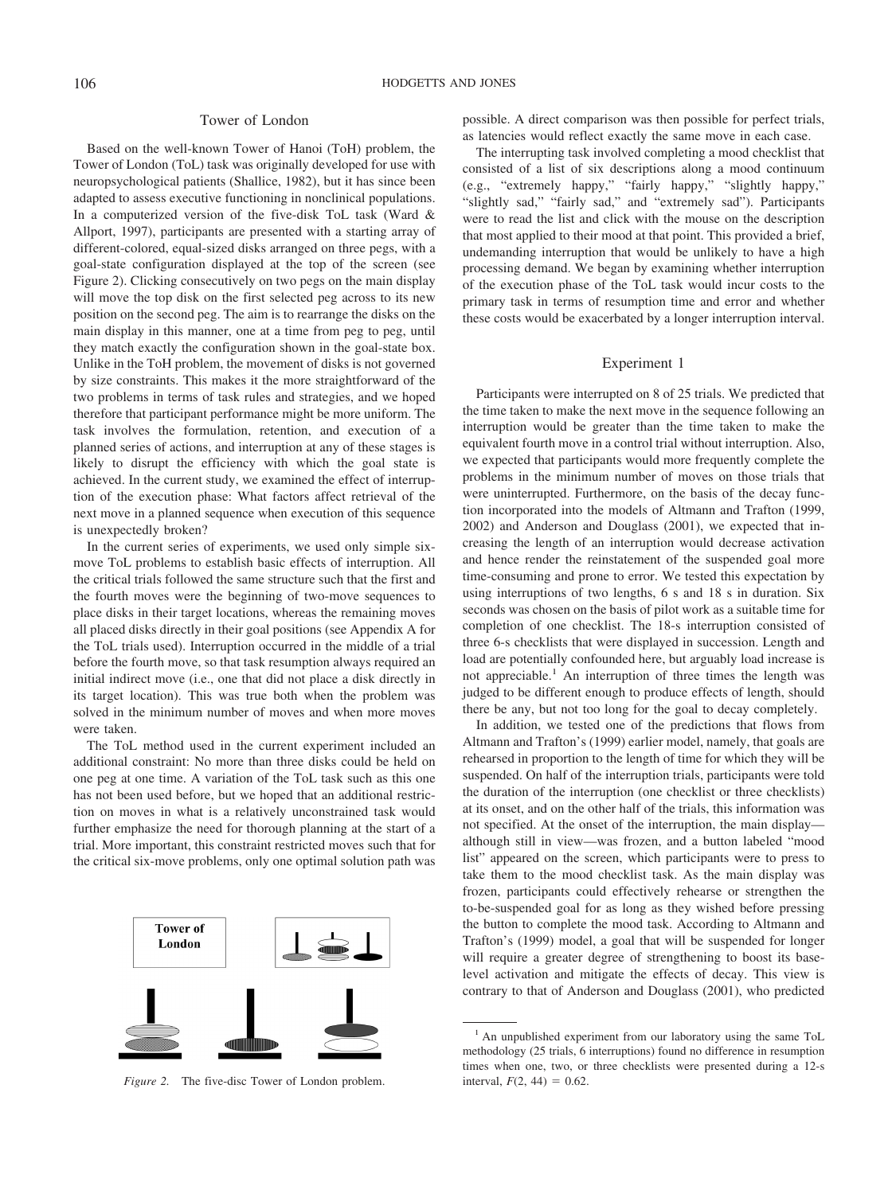# Tower of London

Based on the well-known Tower of Hanoi (ToH) problem, the Tower of London (ToL) task was originally developed for use with neuropsychological patients (Shallice, 1982), but it has since been adapted to assess executive functioning in nonclinical populations. In a computerized version of the five-disk ToL task (Ward & Allport, 1997), participants are presented with a starting array of different-colored, equal-sized disks arranged on three pegs, with a goal-state configuration displayed at the top of the screen (see Figure 2). Clicking consecutively on two pegs on the main display will move the top disk on the first selected peg across to its new position on the second peg. The aim is to rearrange the disks on the main display in this manner, one at a time from peg to peg, until they match exactly the configuration shown in the goal-state box. Unlike in the ToH problem, the movement of disks is not governed by size constraints. This makes it the more straightforward of the two problems in terms of task rules and strategies, and we hoped therefore that participant performance might be more uniform. The task involves the formulation, retention, and execution of a planned series of actions, and interruption at any of these stages is likely to disrupt the efficiency with which the goal state is achieved. In the current study, we examined the effect of interruption of the execution phase: What factors affect retrieval of the next move in a planned sequence when execution of this sequence is unexpectedly broken?

In the current series of experiments, we used only simple sixmove ToL problems to establish basic effects of interruption. All the critical trials followed the same structure such that the first and the fourth moves were the beginning of two-move sequences to place disks in their target locations, whereas the remaining moves all placed disks directly in their goal positions (see Appendix A for the ToL trials used). Interruption occurred in the middle of a trial before the fourth move, so that task resumption always required an initial indirect move (i.e., one that did not place a disk directly in its target location). This was true both when the problem was solved in the minimum number of moves and when more moves were taken.

The ToL method used in the current experiment included an additional constraint: No more than three disks could be held on one peg at one time. A variation of the ToL task such as this one has not been used before, but we hoped that an additional restriction on moves in what is a relatively unconstrained task would further emphasize the need for thorough planning at the start of a trial. More important, this constraint restricted moves such that for the critical six-move problems, only one optimal solution path was



*Figure 2.* The five-disc Tower of London problem. interval,  $F(2, 44) = 0.62$ .

possible. A direct comparison was then possible for perfect trials, as latencies would reflect exactly the same move in each case.

The interrupting task involved completing a mood checklist that consisted of a list of six descriptions along a mood continuum (e.g., "extremely happy," "fairly happy," "slightly happy," "slightly sad," "fairly sad," and "extremely sad"). Participants were to read the list and click with the mouse on the description that most applied to their mood at that point. This provided a brief, undemanding interruption that would be unlikely to have a high processing demand. We began by examining whether interruption of the execution phase of the ToL task would incur costs to the primary task in terms of resumption time and error and whether these costs would be exacerbated by a longer interruption interval.

#### Experiment 1

Participants were interrupted on 8 of 25 trials. We predicted that the time taken to make the next move in the sequence following an interruption would be greater than the time taken to make the equivalent fourth move in a control trial without interruption. Also, we expected that participants would more frequently complete the problems in the minimum number of moves on those trials that were uninterrupted. Furthermore, on the basis of the decay function incorporated into the models of Altmann and Trafton (1999, 2002) and Anderson and Douglass (2001), we expected that increasing the length of an interruption would decrease activation and hence render the reinstatement of the suspended goal more time-consuming and prone to error. We tested this expectation by using interruptions of two lengths, 6 s and 18 s in duration. Six seconds was chosen on the basis of pilot work as a suitable time for completion of one checklist. The 18-s interruption consisted of three 6-s checklists that were displayed in succession. Length and load are potentially confounded here, but arguably load increase is not appreciable.1 An interruption of three times the length was judged to be different enough to produce effects of length, should there be any, but not too long for the goal to decay completely.

In addition, we tested one of the predictions that flows from Altmann and Trafton's (1999) earlier model, namely, that goals are rehearsed in proportion to the length of time for which they will be suspended. On half of the interruption trials, participants were told the duration of the interruption (one checklist or three checklists) at its onset, and on the other half of the trials, this information was not specified. At the onset of the interruption, the main display although still in view—was frozen, and a button labeled "mood list" appeared on the screen, which participants were to press to take them to the mood checklist task. As the main display was frozen, participants could effectively rehearse or strengthen the to-be-suspended goal for as long as they wished before pressing the button to complete the mood task. According to Altmann and Trafton's (1999) model, a goal that will be suspended for longer will require a greater degree of strengthening to boost its baselevel activation and mitigate the effects of decay. This view is contrary to that of Anderson and Douglass (2001), who predicted

<sup>&</sup>lt;sup>1</sup> An unpublished experiment from our laboratory using the same ToL methodology (25 trials, 6 interruptions) found no difference in resumption times when one, two, or three checklists were presented during a 12-s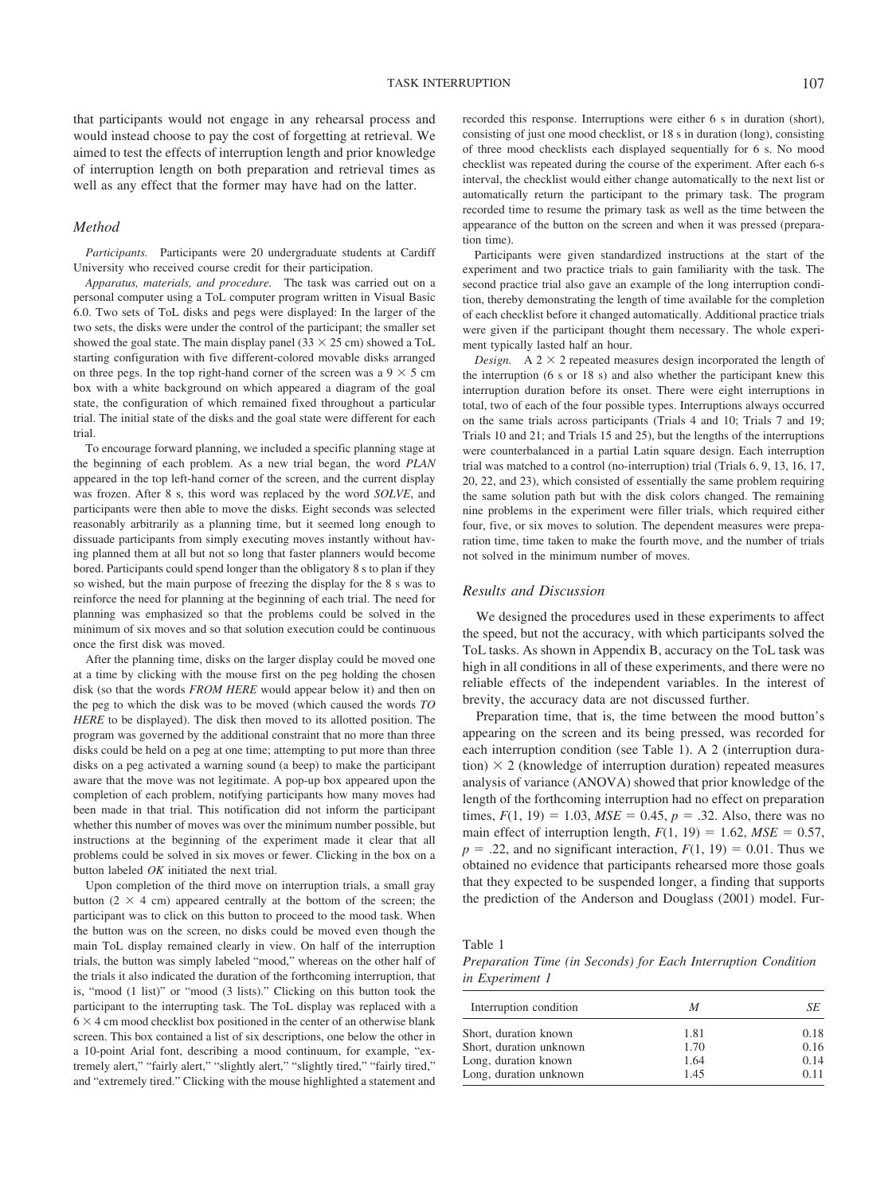that participants would not engage in any rehearsal process and would instead choose to pay the cost of forgetting at retrieval. We aimed to test the effects of interruption length and prior knowledge of interruption length on both preparation and retrieval times as well as any effect that the former may have had on the latter.

#### *Method*

*Participants.* Participants were 20 undergraduate students at Cardiff University who received course credit for their participation.

*Apparatus, materials, and procedure.* The task was carried out on a personal computer using a ToL computer program written in Visual Basic 6.0. Two sets of ToL disks and pegs were displayed: In the larger of the two sets, the disks were under the control of the participant; the smaller set showed the goal state. The main display panel  $(33 \times 25 \text{ cm})$  showed a ToL starting configuration with five different-colored movable disks arranged on three pegs. In the top right-hand corner of the screen was a  $9 \times 5$  cm box with a white background on which appeared a diagram of the goal state, the configuration of which remained fixed throughout a particular trial. The initial state of the disks and the goal state were different for each trial.

To encourage forward planning, we included a specific planning stage at the beginning of each problem. As a new trial began, the word *PLAN* appeared in the top left-hand corner of the screen, and the current display was frozen. After 8 s, this word was replaced by the word *SOLVE*, and participants were then able to move the disks. Eight seconds was selected reasonably arbitrarily as a planning time, but it seemed long enough to dissuade participants from simply executing moves instantly without having planned them at all but not so long that faster planners would become bored. Participants could spend longer than the obligatory 8 s to plan if they so wished, but the main purpose of freezing the display for the 8 s was to reinforce the need for planning at the beginning of each trial. The need for planning was emphasized so that the problems could be solved in the minimum of six moves and so that solution execution could be continuous once the first disk was moved.

After the planning time, disks on the larger display could be moved one at a time by clicking with the mouse first on the peg holding the chosen disk (so that the words *FROM HERE* would appear below it) and then on the peg to which the disk was to be moved (which caused the words *TO HERE* to be displayed). The disk then moved to its allotted position. The program was governed by the additional constraint that no more than three disks could be held on a peg at one time; attempting to put more than three disks on a peg activated a warning sound (a beep) to make the participant aware that the move was not legitimate. A pop-up box appeared upon the completion of each problem, notifying participants how many moves had been made in that trial. This notification did not inform the participant whether this number of moves was over the minimum number possible, but instructions at the beginning of the experiment made it clear that all problems could be solved in six moves or fewer. Clicking in the box on a button labeled *OK* initiated the next trial.

Upon completion of the third move on interruption trials, a small gray button  $(2 \times 4$  cm) appeared centrally at the bottom of the screen; the participant was to click on this button to proceed to the mood task. When the button was on the screen, no disks could be moved even though the main ToL display remained clearly in view. On half of the interruption trials, the button was simply labeled "mood," whereas on the other half of the trials it also indicated the duration of the forthcoming interruption, that is, "mood (1 list)" or "mood (3 lists)." Clicking on this button took the participant to the interrupting task. The ToL display was replaced with a  $6 \times 4$  cm mood checklist box positioned in the center of an otherwise blank screen. This box contained a list of six descriptions, one below the other in a 10-point Arial font, describing a mood continuum, for example, "extremely alert," "fairly alert," "slightly alert," "slightly tired," "fairly tired," and "extremely tired." Clicking with the mouse highlighted a statement and

recorded this response. Interruptions were either 6 s in duration (short), consisting of just one mood checklist, or 18 s in duration (long), consisting of three mood checklists each displayed sequentially for 6 s. No mood checklist was repeated during the course of the experiment. After each 6-s interval, the checklist would either change automatically to the next list or automatically return the participant to the primary task. The program recorded time to resume the primary task as well as the time between the appearance of the button on the screen and when it was pressed (preparation time).

Participants were given standardized instructions at the start of the experiment and two practice trials to gain familiarity with the task. The second practice trial also gave an example of the long interruption condition, thereby demonstrating the length of time available for the completion of each checklist before it changed automatically. Additional practice trials were given if the participant thought them necessary. The whole experiment typically lasted half an hour.

*Design.* A  $2 \times 2$  repeated measures design incorporated the length of the interruption (6 s or 18 s) and also whether the participant knew this interruption duration before its onset. There were eight interruptions in total, two of each of the four possible types. Interruptions always occurred on the same trials across participants (Trials 4 and 10; Trials 7 and 19; Trials 10 and 21; and Trials 15 and 25), but the lengths of the interruptions were counterbalanced in a partial Latin square design. Each interruption trial was matched to a control (no-interruption) trial (Trials 6, 9, 13, 16, 17, 20, 22, and 23), which consisted of essentially the same problem requiring the same solution path but with the disk colors changed. The remaining nine problems in the experiment were filler trials, which required either four, five, or six moves to solution. The dependent measures were preparation time, time taken to make the fourth move, and the number of trials not solved in the minimum number of moves.

# *Results and Discussion*

We designed the procedures used in these experiments to affect the speed, but not the accuracy, with which participants solved the ToL tasks. As shown in Appendix B, accuracy on the ToL task was high in all conditions in all of these experiments, and there were no reliable effects of the independent variables. In the interest of brevity, the accuracy data are not discussed further.

Preparation time, that is, the time between the mood button's appearing on the screen and its being pressed, was recorded for each interruption condition (see Table 1). A 2 (interruption duration)  $\times$  2 (knowledge of interruption duration) repeated measures analysis of variance (ANOVA) showed that prior knowledge of the length of the forthcoming interruption had no effect on preparation times,  $F(1, 19) = 1.03$ ,  $MSE = 0.45$ ,  $p = .32$ . Also, there was no main effect of interruption length,  $F(1, 19) = 1.62$ ,  $MSE = 0.57$ ,  $p = .22$ , and no significant interaction,  $F(1, 19) = 0.01$ . Thus we obtained no evidence that participants rehearsed more those goals that they expected to be suspended longer, a finding that supports the prediction of the Anderson and Douglass (2001) model. Fur-

Table 1

*Preparation Time (in Seconds) for Each Interruption Condition in Experiment 1*

| Interruption condition  | M    | SE   |
|-------------------------|------|------|
| Short, duration known   | 1.81 | 0.18 |
| Short, duration unknown | 1.70 | 0.16 |
| Long, duration known    | 1.64 | 0.14 |
| Long, duration unknown  | 1.45 | 0.11 |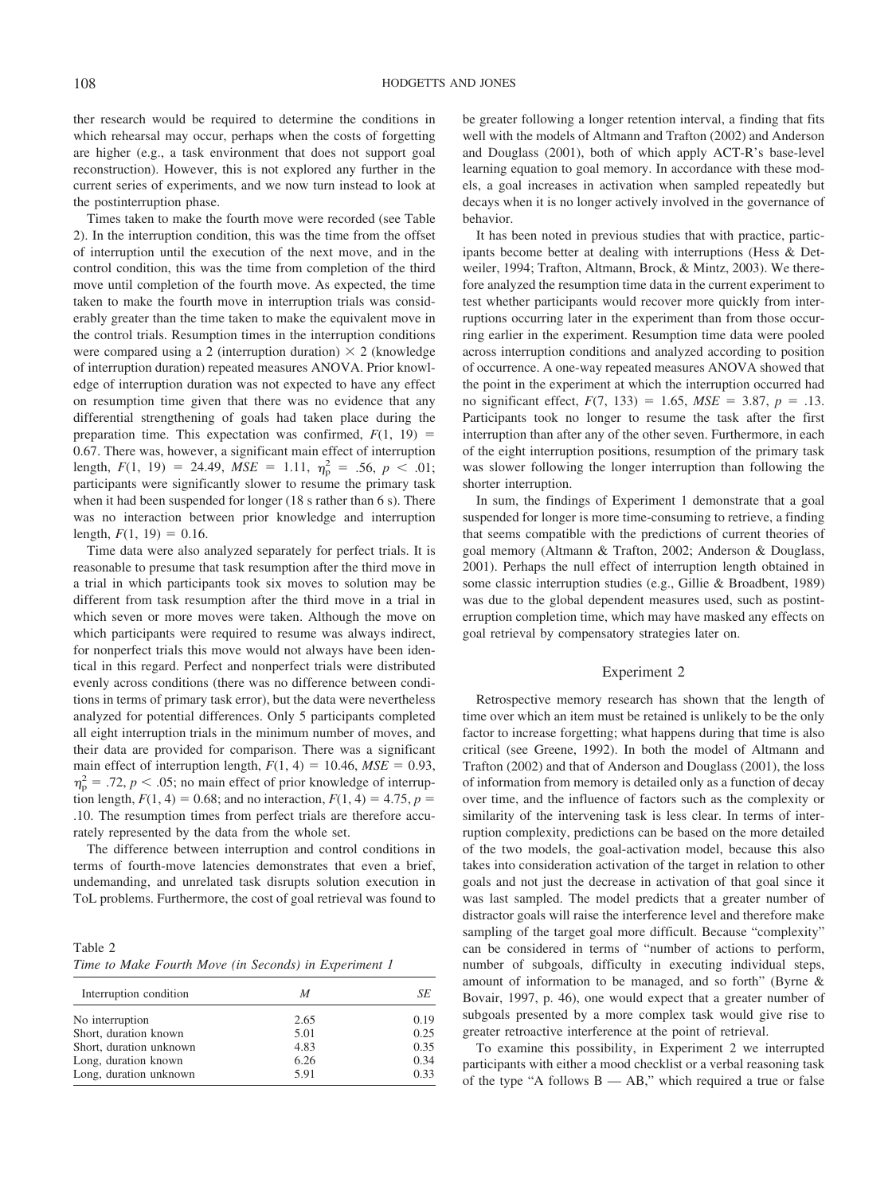ther research would be required to determine the conditions in which rehearsal may occur, perhaps when the costs of forgetting are higher (e.g., a task environment that does not support goal reconstruction). However, this is not explored any further in the current series of experiments, and we now turn instead to look at the postinterruption phase.

Times taken to make the fourth move were recorded (see Table 2). In the interruption condition, this was the time from the offset of interruption until the execution of the next move, and in the control condition, this was the time from completion of the third move until completion of the fourth move. As expected, the time taken to make the fourth move in interruption trials was considerably greater than the time taken to make the equivalent move in the control trials. Resumption times in the interruption conditions were compared using a 2 (interruption duration)  $\times$  2 (knowledge of interruption duration) repeated measures ANOVA. Prior knowledge of interruption duration was not expected to have any effect on resumption time given that there was no evidence that any differential strengthening of goals had taken place during the preparation time. This expectation was confirmed,  $F(1, 19) =$ 0.67. There was, however, a significant main effect of interruption length,  $F(1, 19) = 24.49$ ,  $MSE = 1.11$ ,  $\eta_p^2 = .56$ ,  $p < .01$ ; participants were significantly slower to resume the primary task when it had been suspended for longer (18 s rather than 6 s). There was no interaction between prior knowledge and interruption length,  $F(1, 19) = 0.16$ .

Time data were also analyzed separately for perfect trials. It is reasonable to presume that task resumption after the third move in a trial in which participants took six moves to solution may be different from task resumption after the third move in a trial in which seven or more moves were taken. Although the move on which participants were required to resume was always indirect, for nonperfect trials this move would not always have been identical in this regard. Perfect and nonperfect trials were distributed evenly across conditions (there was no difference between conditions in terms of primary task error), but the data were nevertheless analyzed for potential differences. Only 5 participants completed all eight interruption trials in the minimum number of moves, and their data are provided for comparison. There was a significant main effect of interruption length,  $F(1, 4) = 10.46$ ,  $MSE = 0.93$ ,  $\eta_{\rm p}^2$  = .72, *p* < .05; no main effect of prior knowledge of interruption length,  $F(1, 4) = 0.68$ ; and no interaction,  $F(1, 4) = 4.75$ ,  $p =$ .10. The resumption times from perfect trials are therefore accurately represented by the data from the whole set.

The difference between interruption and control conditions in terms of fourth-move latencies demonstrates that even a brief, undemanding, and unrelated task disrupts solution execution in ToL problems. Furthermore, the cost of goal retrieval was found to

Table 2 *Time to Make Fourth Move (in Seconds) in Experiment 1*

| Interruption condition  | M    | SE   |
|-------------------------|------|------|
| No interruption         | 2.65 | 0.19 |
| Short, duration known   | 5.01 | 0.25 |
| Short, duration unknown | 4.83 | 0.35 |
| Long, duration known    | 6.26 | 0.34 |
| Long, duration unknown  | 5.91 | 0.33 |

be greater following a longer retention interval, a finding that fits well with the models of Altmann and Trafton (2002) and Anderson and Douglass (2001), both of which apply ACT-R's base-level learning equation to goal memory. In accordance with these models, a goal increases in activation when sampled repeatedly but decays when it is no longer actively involved in the governance of behavior.

It has been noted in previous studies that with practice, participants become better at dealing with interruptions (Hess & Detweiler, 1994; Trafton, Altmann, Brock, & Mintz, 2003). We therefore analyzed the resumption time data in the current experiment to test whether participants would recover more quickly from interruptions occurring later in the experiment than from those occurring earlier in the experiment. Resumption time data were pooled across interruption conditions and analyzed according to position of occurrence. A one-way repeated measures ANOVA showed that the point in the experiment at which the interruption occurred had no significant effect,  $F(7, 133) = 1.65$ ,  $MSE = 3.87$ ,  $p = .13$ . Participants took no longer to resume the task after the first interruption than after any of the other seven. Furthermore, in each of the eight interruption positions, resumption of the primary task was slower following the longer interruption than following the shorter interruption.

In sum, the findings of Experiment 1 demonstrate that a goal suspended for longer is more time-consuming to retrieve, a finding that seems compatible with the predictions of current theories of goal memory (Altmann & Trafton, 2002; Anderson & Douglass, 2001). Perhaps the null effect of interruption length obtained in some classic interruption studies (e.g., Gillie & Broadbent, 1989) was due to the global dependent measures used, such as postinterruption completion time, which may have masked any effects on goal retrieval by compensatory strategies later on.

# Experiment 2

Retrospective memory research has shown that the length of time over which an item must be retained is unlikely to be the only factor to increase forgetting; what happens during that time is also critical (see Greene, 1992). In both the model of Altmann and Trafton (2002) and that of Anderson and Douglass (2001), the loss of information from memory is detailed only as a function of decay over time, and the influence of factors such as the complexity or similarity of the intervening task is less clear. In terms of interruption complexity, predictions can be based on the more detailed of the two models, the goal-activation model, because this also takes into consideration activation of the target in relation to other goals and not just the decrease in activation of that goal since it was last sampled. The model predicts that a greater number of distractor goals will raise the interference level and therefore make sampling of the target goal more difficult. Because "complexity" can be considered in terms of "number of actions to perform, number of subgoals, difficulty in executing individual steps, amount of information to be managed, and so forth" (Byrne & Bovair, 1997, p. 46), one would expect that a greater number of subgoals presented by a more complex task would give rise to greater retroactive interference at the point of retrieval.

To examine this possibility, in Experiment 2 we interrupted participants with either a mood checklist or a verbal reasoning task of the type "A follows  $B - AB$ ," which required a true or false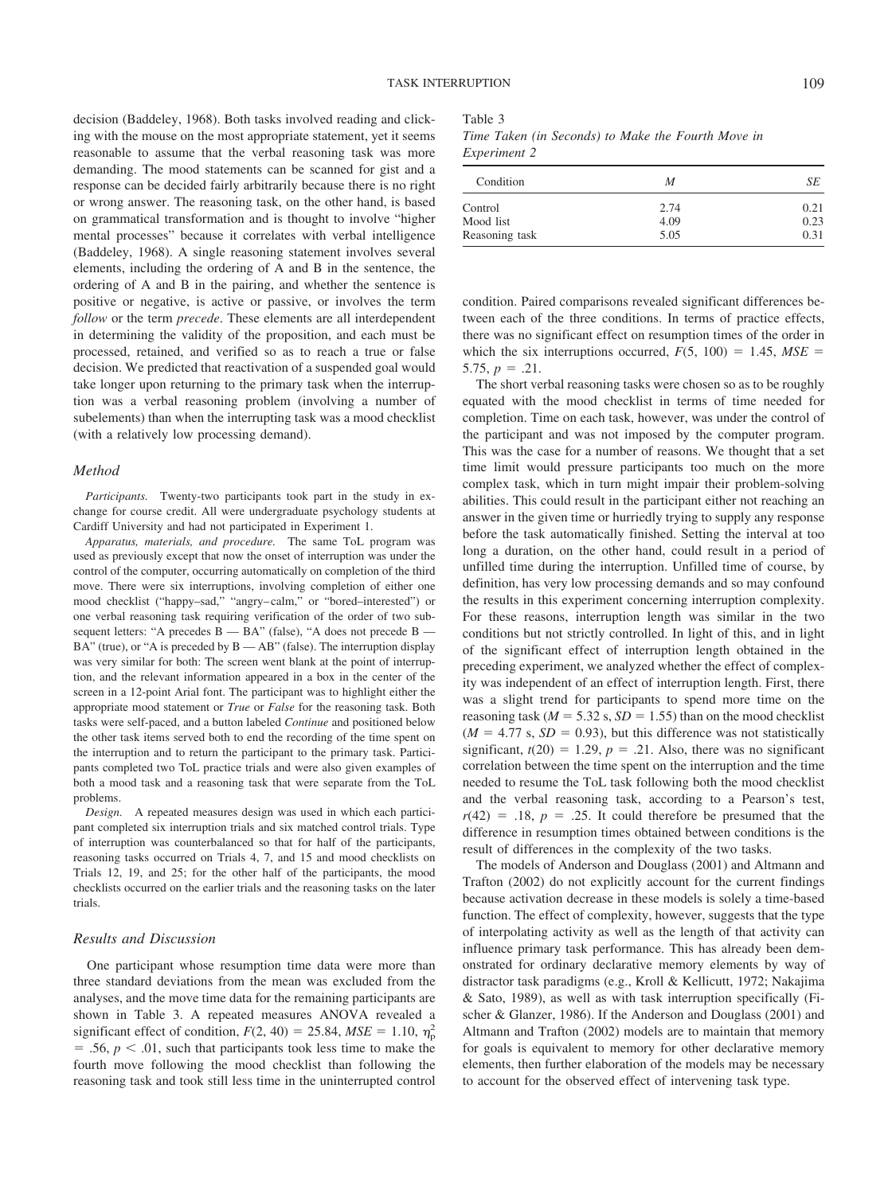*Time Taken (in Seconds) to Make the Fourth Move in*

decision (Baddeley, 1968). Both tasks involved reading and clicking with the mouse on the most appropriate statement, yet it seems reasonable to assume that the verbal reasoning task was more demanding. The mood statements can be scanned for gist and a response can be decided fairly arbitrarily because there is no right or wrong answer. The reasoning task, on the other hand, is based on grammatical transformation and is thought to involve "higher mental processes" because it correlates with verbal intelligence (Baddeley, 1968). A single reasoning statement involves several elements, including the ordering of A and B in the sentence, the ordering of A and B in the pairing, and whether the sentence is positive or negative, is active or passive, or involves the term *follow* or the term *precede*. These elements are all interdependent in determining the validity of the proposition, and each must be processed, retained, and verified so as to reach a true or false decision. We predicted that reactivation of a suspended goal would take longer upon returning to the primary task when the interruption was a verbal reasoning problem (involving a number of subelements) than when the interrupting task was a mood checklist (with a relatively low processing demand).

# *Method*

*Participants.* Twenty-two participants took part in the study in exchange for course credit. All were undergraduate psychology students at Cardiff University and had not participated in Experiment 1.

*Apparatus, materials, and procedure.* The same ToL program was used as previously except that now the onset of interruption was under the control of the computer, occurring automatically on completion of the third move. There were six interruptions, involving completion of either one mood checklist ("happy–sad," "angry– calm," or "bored–interested") or one verbal reasoning task requiring verification of the order of two subsequent letters: "A precedes B — BA" (false), "A does not precede B —  $BA"$  (true), or "A is preceded by  $B - AB"$  (false). The interruption display was very similar for both: The screen went blank at the point of interruption, and the relevant information appeared in a box in the center of the screen in a 12-point Arial font. The participant was to highlight either the appropriate mood statement or *True* or *False* for the reasoning task. Both tasks were self-paced, and a button labeled *Continue* and positioned below the other task items served both to end the recording of the time spent on the interruption and to return the participant to the primary task. Participants completed two ToL practice trials and were also given examples of both a mood task and a reasoning task that were separate from the ToL problems.

*Design.* A repeated measures design was used in which each participant completed six interruption trials and six matched control trials. Type of interruption was counterbalanced so that for half of the participants, reasoning tasks occurred on Trials 4, 7, and 15 and mood checklists on Trials 12, 19, and 25; for the other half of the participants, the mood checklists occurred on the earlier trials and the reasoning tasks on the later trials.

# *Results and Discussion*

One participant whose resumption time data were more than three standard deviations from the mean was excluded from the analyses, and the move time data for the remaining participants are shown in Table 3. A repeated measures ANOVA revealed a significant effect of condition,  $F(2, 40) = 25.84$ ,  $MSE = 1.10$ ,  $\eta_p^2$  $= .56, p < .01$ , such that participants took less time to make the fourth move following the mood checklist than following the reasoning task and took still less time in the uninterrupted control

| Table 3                                    |  |  |
|--------------------------------------------|--|--|
| Time Taken (in Seconds) to Make the Fourth |  |  |
| <i>Experiment</i> 2                        |  |  |

| <i>Experiment</i> |  |  |
|-------------------|--|--|
|                   |  |  |

| Condition      | М    | SE   |
|----------------|------|------|
| Control        | 2.74 | 0.21 |
| Mood list      | 4.09 | 0.23 |
| Reasoning task | 5.05 | 0.31 |

condition. Paired comparisons revealed significant differences between each of the three conditions. In terms of practice effects, there was no significant effect on resumption times of the order in which the six interruptions occurred,  $F(5, 100) = 1.45$ ,  $MSE =$ 5.75,  $p = .21$ .

The short verbal reasoning tasks were chosen so as to be roughly equated with the mood checklist in terms of time needed for completion. Time on each task, however, was under the control of the participant and was not imposed by the computer program. This was the case for a number of reasons. We thought that a set time limit would pressure participants too much on the more complex task, which in turn might impair their problem-solving abilities. This could result in the participant either not reaching an answer in the given time or hurriedly trying to supply any response before the task automatically finished. Setting the interval at too long a duration, on the other hand, could result in a period of unfilled time during the interruption. Unfilled time of course, by definition, has very low processing demands and so may confound the results in this experiment concerning interruption complexity. For these reasons, interruption length was similar in the two conditions but not strictly controlled. In light of this, and in light of the significant effect of interruption length obtained in the preceding experiment, we analyzed whether the effect of complexity was independent of an effect of interruption length. First, there was a slight trend for participants to spend more time on the reasoning task ( $M = 5.32$  s,  $SD = 1.55$ ) than on the mood checklist  $(M = 4.77 \text{ s}, SD = 0.93)$ , but this difference was not statistically significant,  $t(20) = 1.29$ ,  $p = .21$ . Also, there was no significant correlation between the time spent on the interruption and the time needed to resume the ToL task following both the mood checklist and the verbal reasoning task, according to a Pearson's test,  $r(42) = .18$ ,  $p = .25$ . It could therefore be presumed that the difference in resumption times obtained between conditions is the result of differences in the complexity of the two tasks.

The models of Anderson and Douglass (2001) and Altmann and Trafton (2002) do not explicitly account for the current findings because activation decrease in these models is solely a time-based function. The effect of complexity, however, suggests that the type of interpolating activity as well as the length of that activity can influence primary task performance. This has already been demonstrated for ordinary declarative memory elements by way of distractor task paradigms (e.g., Kroll & Kellicutt, 1972; Nakajima & Sato, 1989), as well as with task interruption specifically (Fischer & Glanzer, 1986). If the Anderson and Douglass (2001) and Altmann and Trafton (2002) models are to maintain that memory for goals is equivalent to memory for other declarative memory elements, then further elaboration of the models may be necessary to account for the observed effect of intervening task type.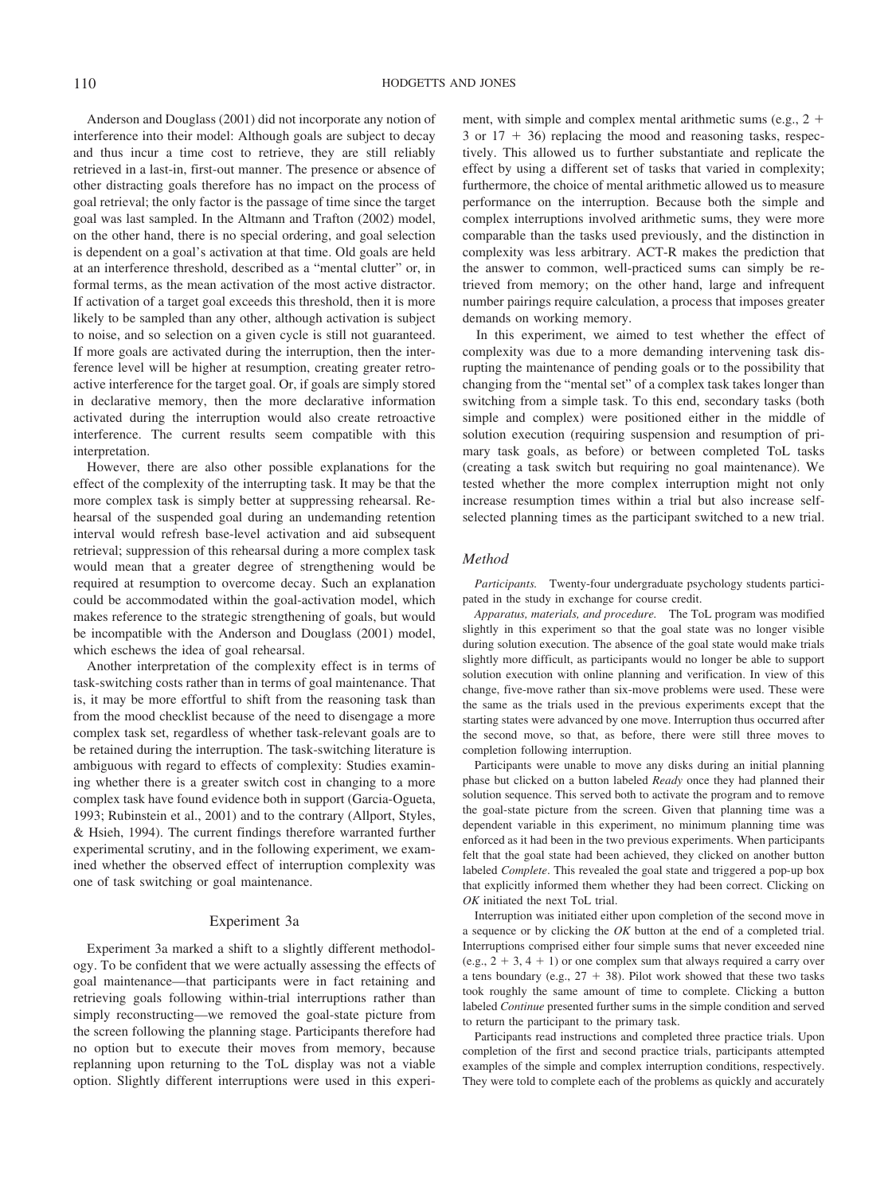Anderson and Douglass (2001) did not incorporate any notion of interference into their model: Although goals are subject to decay and thus incur a time cost to retrieve, they are still reliably retrieved in a last-in, first-out manner. The presence or absence of other distracting goals therefore has no impact on the process of goal retrieval; the only factor is the passage of time since the target goal was last sampled. In the Altmann and Trafton (2002) model, on the other hand, there is no special ordering, and goal selection is dependent on a goal's activation at that time. Old goals are held at an interference threshold, described as a "mental clutter" or, in formal terms, as the mean activation of the most active distractor. If activation of a target goal exceeds this threshold, then it is more likely to be sampled than any other, although activation is subject to noise, and so selection on a given cycle is still not guaranteed. If more goals are activated during the interruption, then the interference level will be higher at resumption, creating greater retroactive interference for the target goal. Or, if goals are simply stored in declarative memory, then the more declarative information activated during the interruption would also create retroactive interference. The current results seem compatible with this interpretation.

However, there are also other possible explanations for the effect of the complexity of the interrupting task. It may be that the more complex task is simply better at suppressing rehearsal. Rehearsal of the suspended goal during an undemanding retention interval would refresh base-level activation and aid subsequent retrieval; suppression of this rehearsal during a more complex task would mean that a greater degree of strengthening would be required at resumption to overcome decay. Such an explanation could be accommodated within the goal-activation model, which makes reference to the strategic strengthening of goals, but would be incompatible with the Anderson and Douglass (2001) model, which eschews the idea of goal rehearsal.

Another interpretation of the complexity effect is in terms of task-switching costs rather than in terms of goal maintenance. That is, it may be more effortful to shift from the reasoning task than from the mood checklist because of the need to disengage a more complex task set, regardless of whether task-relevant goals are to be retained during the interruption. The task-switching literature is ambiguous with regard to effects of complexity: Studies examining whether there is a greater switch cost in changing to a more complex task have found evidence both in support (Garcia-Ogueta, 1993; Rubinstein et al., 2001) and to the contrary (Allport, Styles, & Hsieh, 1994). The current findings therefore warranted further experimental scrutiny, and in the following experiment, we examined whether the observed effect of interruption complexity was one of task switching or goal maintenance.

#### Experiment 3a

Experiment 3a marked a shift to a slightly different methodology. To be confident that we were actually assessing the effects of goal maintenance—that participants were in fact retaining and retrieving goals following within-trial interruptions rather than simply reconstructing—we removed the goal-state picture from the screen following the planning stage. Participants therefore had no option but to execute their moves from memory, because replanning upon returning to the ToL display was not a viable option. Slightly different interruptions were used in this experiment, with simple and complex mental arithmetic sums (e.g.,  $2 +$  $3$  or  $17 + 36$ ) replacing the mood and reasoning tasks, respectively. This allowed us to further substantiate and replicate the effect by using a different set of tasks that varied in complexity; furthermore, the choice of mental arithmetic allowed us to measure performance on the interruption. Because both the simple and complex interruptions involved arithmetic sums, they were more comparable than the tasks used previously, and the distinction in complexity was less arbitrary. ACT-R makes the prediction that the answer to common, well-practiced sums can simply be retrieved from memory; on the other hand, large and infrequent number pairings require calculation, a process that imposes greater demands on working memory.

In this experiment, we aimed to test whether the effect of complexity was due to a more demanding intervening task disrupting the maintenance of pending goals or to the possibility that changing from the "mental set" of a complex task takes longer than switching from a simple task. To this end, secondary tasks (both simple and complex) were positioned either in the middle of solution execution (requiring suspension and resumption of primary task goals, as before) or between completed ToL tasks (creating a task switch but requiring no goal maintenance). We tested whether the more complex interruption might not only increase resumption times within a trial but also increase selfselected planning times as the participant switched to a new trial.

# *Method*

*Participants.* Twenty-four undergraduate psychology students participated in the study in exchange for course credit.

*Apparatus, materials, and procedure.* The ToL program was modified slightly in this experiment so that the goal state was no longer visible during solution execution. The absence of the goal state would make trials slightly more difficult, as participants would no longer be able to support solution execution with online planning and verification. In view of this change, five-move rather than six-move problems were used. These were the same as the trials used in the previous experiments except that the starting states were advanced by one move. Interruption thus occurred after the second move, so that, as before, there were still three moves to completion following interruption.

Participants were unable to move any disks during an initial planning phase but clicked on a button labeled *Ready* once they had planned their solution sequence. This served both to activate the program and to remove the goal-state picture from the screen. Given that planning time was a dependent variable in this experiment, no minimum planning time was enforced as it had been in the two previous experiments. When participants felt that the goal state had been achieved, they clicked on another button labeled *Complete*. This revealed the goal state and triggered a pop-up box that explicitly informed them whether they had been correct. Clicking on *OK* initiated the next ToL trial.

Interruption was initiated either upon completion of the second move in a sequence or by clicking the *OK* button at the end of a completed trial. Interruptions comprised either four simple sums that never exceeded nine (e.g.,  $2 + 3$ ,  $4 + 1$ ) or one complex sum that always required a carry over a tens boundary (e.g.,  $27 + 38$ ). Pilot work showed that these two tasks took roughly the same amount of time to complete. Clicking a button labeled *Continue* presented further sums in the simple condition and served to return the participant to the primary task.

Participants read instructions and completed three practice trials. Upon completion of the first and second practice trials, participants attempted examples of the simple and complex interruption conditions, respectively. They were told to complete each of the problems as quickly and accurately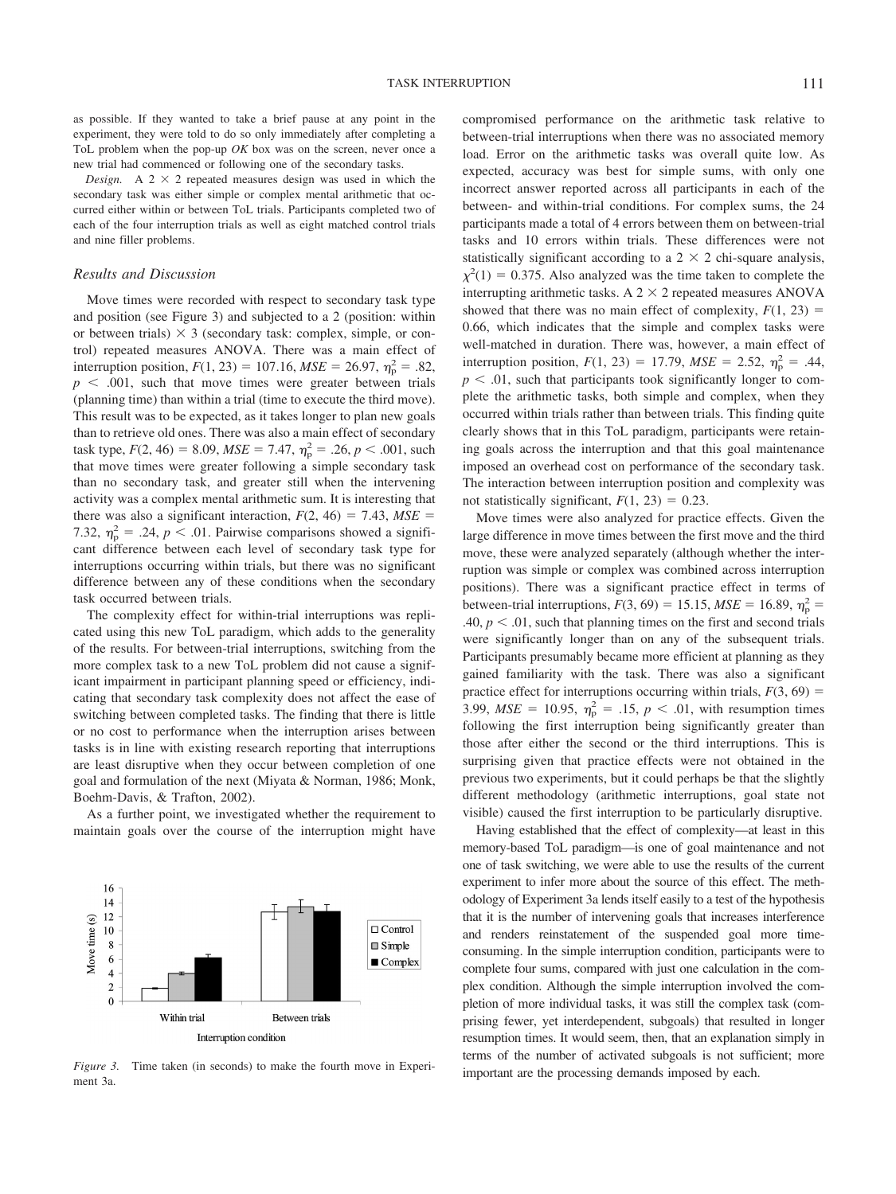as possible. If they wanted to take a brief pause at any point in the experiment, they were told to do so only immediately after completing a ToL problem when the pop-up *OK* box was on the screen, never once a new trial had commenced or following one of the secondary tasks.

*Design.* A  $2 \times 2$  repeated measures design was used in which the secondary task was either simple or complex mental arithmetic that occurred either within or between ToL trials. Participants completed two of each of the four interruption trials as well as eight matched control trials and nine filler problems.

#### *Results and Discussion*

Move times were recorded with respect to secondary task type and position (see Figure 3) and subjected to a 2 (position: within or between trials)  $\times$  3 (secondary task: complex, simple, or control) repeated measures ANOVA. There was a main effect of interruption position,  $F(1, 23) = 107.16$ ,  $MSE = 26.97$ ,  $\eta_p^2 = .82$ ,  $p \leq .001$ , such that move times were greater between trials (planning time) than within a trial (time to execute the third move). This result was to be expected, as it takes longer to plan new goals than to retrieve old ones. There was also a main effect of secondary task type,  $F(2, 46) = 8.09$ ,  $MSE = 7.47$ ,  $\eta_p^2 = .26$ ,  $p < .001$ , such that move times were greater following a simple secondary task than no secondary task, and greater still when the intervening activity was a complex mental arithmetic sum. It is interesting that there was also a significant interaction,  $F(2, 46) = 7.43$ ,  $MSE =$ 7.32,  $\eta_{\rm p}^2$  = .24,  $p < .01$ . Pairwise comparisons showed a significant difference between each level of secondary task type for interruptions occurring within trials, but there was no significant difference between any of these conditions when the secondary task occurred between trials.

The complexity effect for within-trial interruptions was replicated using this new ToL paradigm, which adds to the generality of the results. For between-trial interruptions, switching from the more complex task to a new ToL problem did not cause a significant impairment in participant planning speed or efficiency, indicating that secondary task complexity does not affect the ease of switching between completed tasks. The finding that there is little or no cost to performance when the interruption arises between tasks is in line with existing research reporting that interruptions are least disruptive when they occur between completion of one goal and formulation of the next (Miyata & Norman, 1986; Monk, Boehm-Davis, & Trafton, 2002).

As a further point, we investigated whether the requirement to maintain goals over the course of the interruption might have



compromised performance on the arithmetic task relative to between-trial interruptions when there was no associated memory load. Error on the arithmetic tasks was overall quite low. As expected, accuracy was best for simple sums, with only one incorrect answer reported across all participants in each of the between- and within-trial conditions. For complex sums, the 24 participants made a total of 4 errors between them on between-trial tasks and 10 errors within trials. These differences were not statistically significant according to a  $2 \times 2$  chi-square analysis,  $\chi^2(1) = 0.375$ . Also analyzed was the time taken to complete the interrupting arithmetic tasks. A  $2 \times 2$  repeated measures ANOVA showed that there was no main effect of complexity,  $F(1, 23) =$ 0.66, which indicates that the simple and complex tasks were well-matched in duration. There was, however, a main effect of interruption position,  $F(1, 23) = 17.79$ ,  $MSE = 2.52$ ,  $\eta_p^2 = .44$ ,  $p < .01$ , such that participants took significantly longer to complete the arithmetic tasks, both simple and complex, when they occurred within trials rather than between trials. This finding quite clearly shows that in this ToL paradigm, participants were retaining goals across the interruption and that this goal maintenance imposed an overhead cost on performance of the secondary task. The interaction between interruption position and complexity was not statistically significant,  $F(1, 23) = 0.23$ .

Move times were also analyzed for practice effects. Given the large difference in move times between the first move and the third move, these were analyzed separately (although whether the interruption was simple or complex was combined across interruption positions). There was a significant practice effect in terms of between-trial interruptions,  $F(3, 69) = 15.15$ ,  $MSE = 16.89$ ,  $\eta_p^2 =$ .40,  $p < .01$ , such that planning times on the first and second trials were significantly longer than on any of the subsequent trials. Participants presumably became more efficient at planning as they gained familiarity with the task. There was also a significant practice effect for interruptions occurring within trials,  $F(3, 69) =$ 3.99,  $MSE = 10.95$ ,  $\eta_p^2 = .15$ ,  $p < .01$ , with resumption times following the first interruption being significantly greater than those after either the second or the third interruptions. This is surprising given that practice effects were not obtained in the previous two experiments, but it could perhaps be that the slightly different methodology (arithmetic interruptions, goal state not visible) caused the first interruption to be particularly disruptive.

Having established that the effect of complexity—at least in this memory-based ToL paradigm—is one of goal maintenance and not one of task switching, we were able to use the results of the current experiment to infer more about the source of this effect. The methodology of Experiment 3a lends itself easily to a test of the hypothesis that it is the number of intervening goals that increases interference and renders reinstatement of the suspended goal more timeconsuming. In the simple interruption condition, participants were to complete four sums, compared with just one calculation in the complex condition. Although the simple interruption involved the completion of more individual tasks, it was still the complex task (comprising fewer, yet interdependent, subgoals) that resulted in longer resumption times. It would seem, then, that an explanation simply in terms of the number of activated subgoals is not sufficient; more

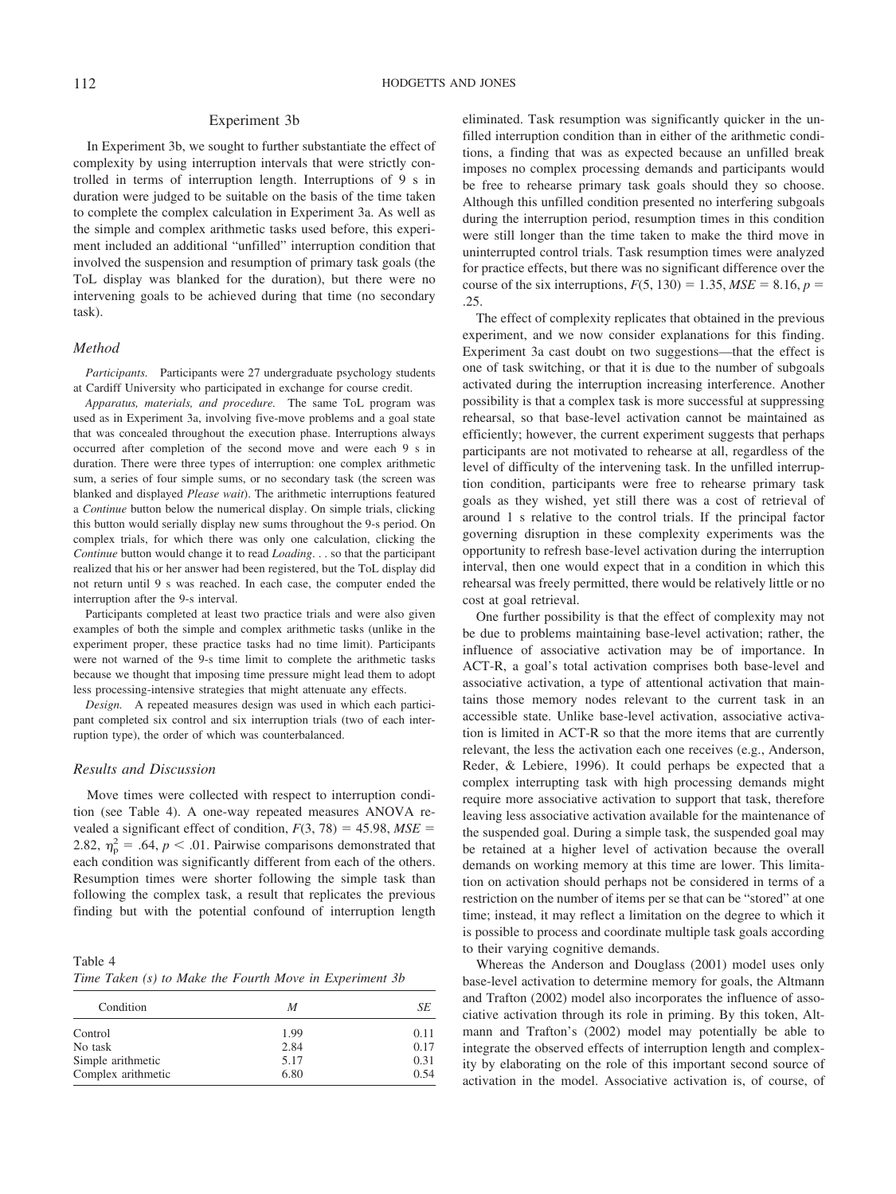# Experiment 3b

In Experiment 3b, we sought to further substantiate the effect of complexity by using interruption intervals that were strictly controlled in terms of interruption length. Interruptions of 9 s in duration were judged to be suitable on the basis of the time taken to complete the complex calculation in Experiment 3a. As well as the simple and complex arithmetic tasks used before, this experiment included an additional "unfilled" interruption condition that involved the suspension and resumption of primary task goals (the ToL display was blanked for the duration), but there were no intervening goals to be achieved during that time (no secondary task).

#### *Method*

*Participants.* Participants were 27 undergraduate psychology students at Cardiff University who participated in exchange for course credit.

*Apparatus, materials, and procedure.* The same ToL program was used as in Experiment 3a, involving five-move problems and a goal state that was concealed throughout the execution phase. Interruptions always occurred after completion of the second move and were each 9 s in duration. There were three types of interruption: one complex arithmetic sum, a series of four simple sums, or no secondary task (the screen was blanked and displayed *Please wait*). The arithmetic interruptions featured a *Continue* button below the numerical display. On simple trials, clicking this button would serially display new sums throughout the 9-s period. On complex trials, for which there was only one calculation, clicking the *Continue* button would change it to read *Loading*. . . so that the participant realized that his or her answer had been registered, but the ToL display did not return until 9 s was reached. In each case, the computer ended the interruption after the 9-s interval.

Participants completed at least two practice trials and were also given examples of both the simple and complex arithmetic tasks (unlike in the experiment proper, these practice tasks had no time limit). Participants were not warned of the 9-s time limit to complete the arithmetic tasks because we thought that imposing time pressure might lead them to adopt less processing-intensive strategies that might attenuate any effects.

*Design.* A repeated measures design was used in which each participant completed six control and six interruption trials (two of each interruption type), the order of which was counterbalanced.

# *Results and Discussion*

Move times were collected with respect to interruption condition (see Table 4). A one-way repeated measures ANOVA revealed a significant effect of condition,  $F(3, 78) = 45.98$ ,  $MSE =$ 2.82,  $\eta_{\rm p}^2$  = .64,  $p < .01$ . Pairwise comparisons demonstrated that each condition was significantly different from each of the others. Resumption times were shorter following the simple task than following the complex task, a result that replicates the previous finding but with the potential confound of interruption length

Table 4 *Time Taken (s) to Make the Fourth Move in Experiment 3b*

| Condition          | M    | SЕ   |
|--------------------|------|------|
| Control            | 1.99 | 0.11 |
| No task            | 2.84 | 0.17 |
| Simple arithmetic  | 5.17 | 0.31 |
| Complex arithmetic | 6.80 | 0.54 |

eliminated. Task resumption was significantly quicker in the unfilled interruption condition than in either of the arithmetic conditions, a finding that was as expected because an unfilled break imposes no complex processing demands and participants would be free to rehearse primary task goals should they so choose. Although this unfilled condition presented no interfering subgoals during the interruption period, resumption times in this condition were still longer than the time taken to make the third move in uninterrupted control trials. Task resumption times were analyzed for practice effects, but there was no significant difference over the course of the six interruptions,  $F(5, 130) = 1.35$ ,  $MSE = 8.16$ ,  $p =$ .25.

The effect of complexity replicates that obtained in the previous experiment, and we now consider explanations for this finding. Experiment 3a cast doubt on two suggestions—that the effect is one of task switching, or that it is due to the number of subgoals activated during the interruption increasing interference. Another possibility is that a complex task is more successful at suppressing rehearsal, so that base-level activation cannot be maintained as efficiently; however, the current experiment suggests that perhaps participants are not motivated to rehearse at all, regardless of the level of difficulty of the intervening task. In the unfilled interruption condition, participants were free to rehearse primary task goals as they wished, yet still there was a cost of retrieval of around 1 s relative to the control trials. If the principal factor governing disruption in these complexity experiments was the opportunity to refresh base-level activation during the interruption interval, then one would expect that in a condition in which this rehearsal was freely permitted, there would be relatively little or no cost at goal retrieval.

One further possibility is that the effect of complexity may not be due to problems maintaining base-level activation; rather, the influence of associative activation may be of importance. In ACT-R, a goal's total activation comprises both base-level and associative activation, a type of attentional activation that maintains those memory nodes relevant to the current task in an accessible state. Unlike base-level activation, associative activation is limited in ACT-R so that the more items that are currently relevant, the less the activation each one receives (e.g., Anderson, Reder, & Lebiere, 1996). It could perhaps be expected that a complex interrupting task with high processing demands might require more associative activation to support that task, therefore leaving less associative activation available for the maintenance of the suspended goal. During a simple task, the suspended goal may be retained at a higher level of activation because the overall demands on working memory at this time are lower. This limitation on activation should perhaps not be considered in terms of a restriction on the number of items per se that can be "stored" at one time; instead, it may reflect a limitation on the degree to which it is possible to process and coordinate multiple task goals according to their varying cognitive demands.

Whereas the Anderson and Douglass (2001) model uses only base-level activation to determine memory for goals, the Altmann and Trafton (2002) model also incorporates the influence of associative activation through its role in priming. By this token, Altmann and Trafton's (2002) model may potentially be able to integrate the observed effects of interruption length and complexity by elaborating on the role of this important second source of activation in the model. Associative activation is, of course, of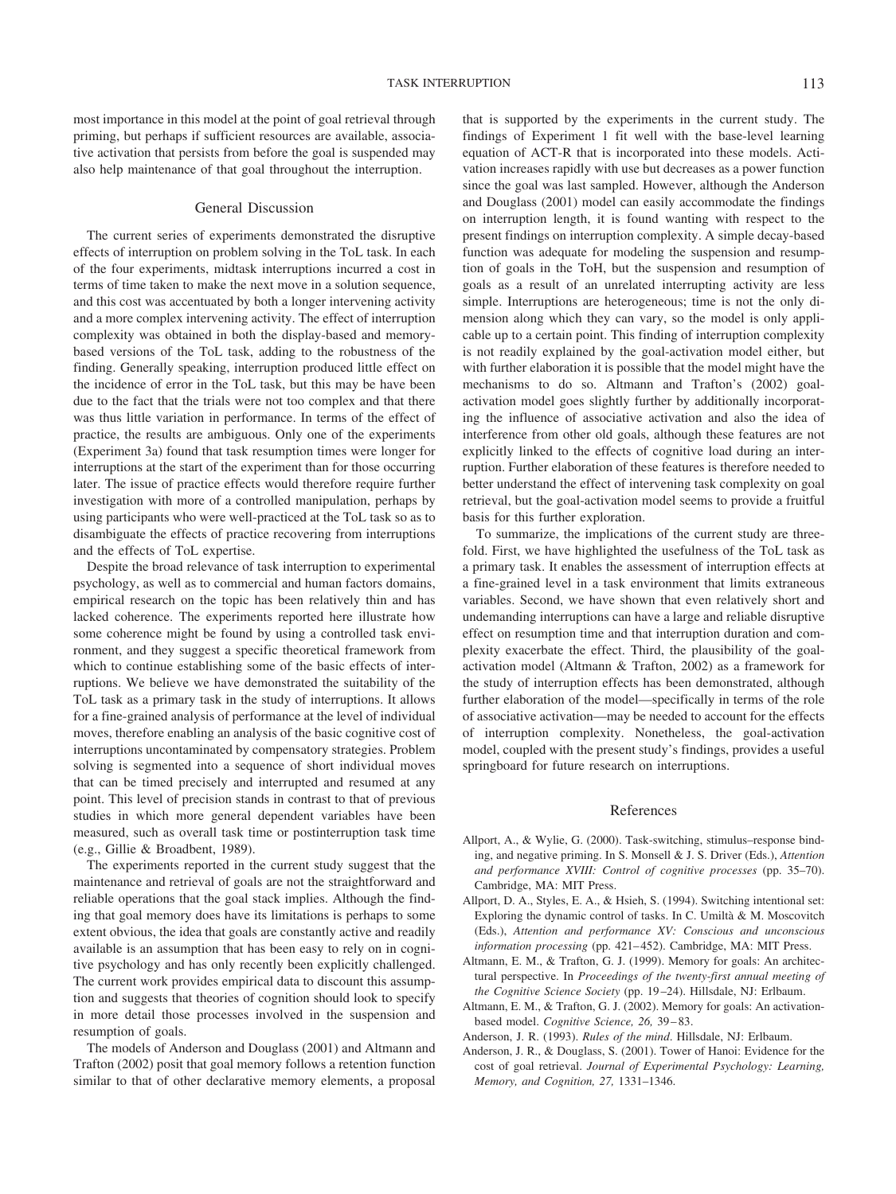most importance in this model at the point of goal retrieval through priming, but perhaps if sufficient resources are available, associative activation that persists from before the goal is suspended may also help maintenance of that goal throughout the interruption.

# General Discussion

The current series of experiments demonstrated the disruptive effects of interruption on problem solving in the ToL task. In each of the four experiments, midtask interruptions incurred a cost in terms of time taken to make the next move in a solution sequence, and this cost was accentuated by both a longer intervening activity and a more complex intervening activity. The effect of interruption complexity was obtained in both the display-based and memorybased versions of the ToL task, adding to the robustness of the finding. Generally speaking, interruption produced little effect on the incidence of error in the ToL task, but this may be have been due to the fact that the trials were not too complex and that there was thus little variation in performance. In terms of the effect of practice, the results are ambiguous. Only one of the experiments (Experiment 3a) found that task resumption times were longer for interruptions at the start of the experiment than for those occurring later. The issue of practice effects would therefore require further investigation with more of a controlled manipulation, perhaps by using participants who were well-practiced at the ToL task so as to disambiguate the effects of practice recovering from interruptions and the effects of ToL expertise.

Despite the broad relevance of task interruption to experimental psychology, as well as to commercial and human factors domains, empirical research on the topic has been relatively thin and has lacked coherence. The experiments reported here illustrate how some coherence might be found by using a controlled task environment, and they suggest a specific theoretical framework from which to continue establishing some of the basic effects of interruptions. We believe we have demonstrated the suitability of the ToL task as a primary task in the study of interruptions. It allows for a fine-grained analysis of performance at the level of individual moves, therefore enabling an analysis of the basic cognitive cost of interruptions uncontaminated by compensatory strategies. Problem solving is segmented into a sequence of short individual moves that can be timed precisely and interrupted and resumed at any point. This level of precision stands in contrast to that of previous studies in which more general dependent variables have been measured, such as overall task time or postinterruption task time (e.g., Gillie & Broadbent, 1989).

The experiments reported in the current study suggest that the maintenance and retrieval of goals are not the straightforward and reliable operations that the goal stack implies. Although the finding that goal memory does have its limitations is perhaps to some extent obvious, the idea that goals are constantly active and readily available is an assumption that has been easy to rely on in cognitive psychology and has only recently been explicitly challenged. The current work provides empirical data to discount this assumption and suggests that theories of cognition should look to specify in more detail those processes involved in the suspension and resumption of goals.

The models of Anderson and Douglass (2001) and Altmann and Trafton (2002) posit that goal memory follows a retention function similar to that of other declarative memory elements, a proposal that is supported by the experiments in the current study. The findings of Experiment 1 fit well with the base-level learning equation of ACT-R that is incorporated into these models. Activation increases rapidly with use but decreases as a power function since the goal was last sampled. However, although the Anderson and Douglass (2001) model can easily accommodate the findings on interruption length, it is found wanting with respect to the present findings on interruption complexity. A simple decay-based function was adequate for modeling the suspension and resumption of goals in the ToH, but the suspension and resumption of goals as a result of an unrelated interrupting activity are less simple. Interruptions are heterogeneous; time is not the only dimension along which they can vary, so the model is only applicable up to a certain point. This finding of interruption complexity is not readily explained by the goal-activation model either, but with further elaboration it is possible that the model might have the mechanisms to do so. Altmann and Trafton's (2002) goalactivation model goes slightly further by additionally incorporating the influence of associative activation and also the idea of interference from other old goals, although these features are not explicitly linked to the effects of cognitive load during an interruption. Further elaboration of these features is therefore needed to better understand the effect of intervening task complexity on goal retrieval, but the goal-activation model seems to provide a fruitful basis for this further exploration.

To summarize, the implications of the current study are threefold. First, we have highlighted the usefulness of the ToL task as a primary task. It enables the assessment of interruption effects at a fine-grained level in a task environment that limits extraneous variables. Second, we have shown that even relatively short and undemanding interruptions can have a large and reliable disruptive effect on resumption time and that interruption duration and complexity exacerbate the effect. Third, the plausibility of the goalactivation model (Altmann & Trafton, 2002) as a framework for the study of interruption effects has been demonstrated, although further elaboration of the model—specifically in terms of the role of associative activation—may be needed to account for the effects of interruption complexity. Nonetheless, the goal-activation model, coupled with the present study's findings, provides a useful springboard for future research on interruptions.

#### References

- Allport, A., & Wylie, G. (2000). Task-switching, stimulus–response binding, and negative priming. In S. Monsell & J. S. Driver (Eds.), *Attention and performance XVIII: Control of cognitive processes* (pp. 35–70). Cambridge, MA: MIT Press.
- Allport, D. A., Styles, E. A., & Hsieh, S. (1994). Switching intentional set: Exploring the dynamic control of tasks. In C. Umiltà  $&$  M. Moscovitch (Eds.), *Attention and performance XV: Conscious and unconscious information processing* (pp. 421– 452). Cambridge, MA: MIT Press.
- Altmann, E. M., & Trafton, G. J. (1999). Memory for goals: An architectural perspective. In *Proceedings of the twenty-first annual meeting of the Cognitive Science Society* (pp. 19 –24). Hillsdale, NJ: Erlbaum.
- Altmann, E. M., & Trafton, G. J. (2002). Memory for goals: An activationbased model. *Cognitive Science, 26,* 39 – 83.
- Anderson, J. R. (1993). *Rules of the mind*. Hillsdale, NJ: Erlbaum.
- Anderson, J. R., & Douglass, S. (2001). Tower of Hanoi: Evidence for the cost of goal retrieval. *Journal of Experimental Psychology: Learning, Memory, and Cognition, 27,* 1331–1346.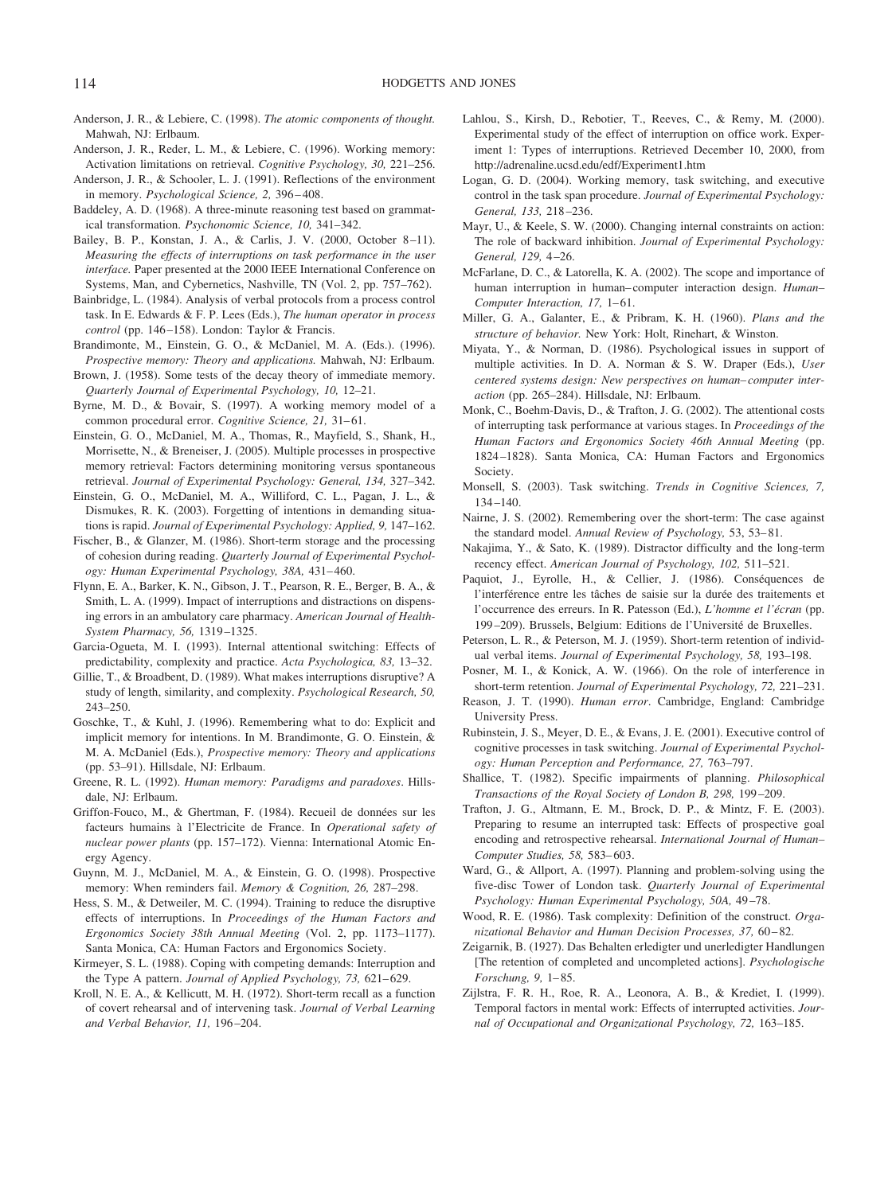- Anderson, J. R., & Lebiere, C. (1998). *The atomic components of thought.* Mahwah, NJ: Erlbaum.
- Anderson, J. R., Reder, L. M., & Lebiere, C. (1996). Working memory: Activation limitations on retrieval. *Cognitive Psychology, 30,* 221–256.
- Anderson, J. R., & Schooler, L. J. (1991). Reflections of the environment in memory. *Psychological Science, 2,* 396 – 408.
- Baddeley, A. D. (1968). A three-minute reasoning test based on grammatical transformation. *Psychonomic Science, 10,* 341–342.
- Bailey, B. P., Konstan, J. A., & Carlis, J. V. (2000, October 8-11). *Measuring the effects of interruptions on task performance in the user interface.* Paper presented at the 2000 IEEE International Conference on Systems, Man, and Cybernetics, Nashville, TN (Vol. 2, pp. 757–762).
- Bainbridge, L. (1984). Analysis of verbal protocols from a process control task. In E. Edwards & F. P. Lees (Eds.), *The human operator in process control* (pp. 146-158). London: Taylor & Francis.
- Brandimonte, M., Einstein, G. O., & McDaniel, M. A. (Eds.). (1996). *Prospective memory: Theory and applications.* Mahwah, NJ: Erlbaum.
- Brown, J. (1958). Some tests of the decay theory of immediate memory. *Quarterly Journal of Experimental Psychology, 10,* 12–21.
- Byrne, M. D., & Bovair, S. (1997). A working memory model of a common procedural error. *Cognitive Science*, 21, 31-61.
- Einstein, G. O., McDaniel, M. A., Thomas, R., Mayfield, S., Shank, H., Morrisette, N., & Breneiser, J. (2005). Multiple processes in prospective memory retrieval: Factors determining monitoring versus spontaneous retrieval. *Journal of Experimental Psychology: General, 134,* 327–342.
- Einstein, G. O., McDaniel, M. A., Williford, C. L., Pagan, J. L., & Dismukes, R. K. (2003). Forgetting of intentions in demanding situations is rapid. *Journal of Experimental Psychology: Applied, 9,* 147–162.
- Fischer, B., & Glanzer, M. (1986). Short-term storage and the processing of cohesion during reading. *Quarterly Journal of Experimental Psychology: Human Experimental Psychology, 38A,* 431– 460.
- Flynn, E. A., Barker, K. N., Gibson, J. T., Pearson, R. E., Berger, B. A., & Smith, L. A. (1999). Impact of interruptions and distractions on dispensing errors in an ambulatory care pharmacy. *American Journal of Health-System Pharmacy, 56,* 1319 –1325.
- Garcia-Ogueta, M. I. (1993). Internal attentional switching: Effects of predictability, complexity and practice. *Acta Psychologica, 83,* 13–32.
- Gillie, T., & Broadbent, D. (1989). What makes interruptions disruptive? A study of length, similarity, and complexity. *Psychological Research, 50,* 243–250.
- Goschke, T., & Kuhl, J. (1996). Remembering what to do: Explicit and implicit memory for intentions. In M. Brandimonte, G. O. Einstein, & M. A. McDaniel (Eds.), *Prospective memory: Theory and applications* (pp. 53–91). Hillsdale, NJ: Erlbaum.
- Greene, R. L. (1992). *Human memory: Paradigms and paradoxes*. Hillsdale, NJ: Erlbaum.
- Griffon-Fouco, M., & Ghertman, F. (1984). Recueil de données sur les facteurs humains a` l'Electricite de France. In *Operational safety of nuclear power plants* (pp. 157–172). Vienna: International Atomic Energy Agency.
- Guynn, M. J., McDaniel, M. A., & Einstein, G. O. (1998). Prospective memory: When reminders fail. *Memory & Cognition, 26,* 287–298.
- Hess, S. M., & Detweiler, M. C. (1994). Training to reduce the disruptive effects of interruptions. In *Proceedings of the Human Factors and Ergonomics Society 38th Annual Meeting* (Vol. 2, pp. 1173–1177). Santa Monica, CA: Human Factors and Ergonomics Society.
- Kirmeyer, S. L. (1988). Coping with competing demands: Interruption and the Type A pattern. *Journal of Applied Psychology, 73, 621-629*.
- Kroll, N. E. A., & Kellicutt, M. H. (1972). Short-term recall as a function of covert rehearsal and of intervening task. *Journal of Verbal Learning and Verbal Behavior, 11,* 196 –204.
- Lahlou, S., Kirsh, D., Rebotier, T., Reeves, C., & Remy, M. (2000). Experimental study of the effect of interruption on office work. Experiment 1: Types of interruptions. Retrieved December 10, 2000, from http://adrenaline.ucsd.edu/edf/Experiment1.htm
- Logan, G. D. (2004). Working memory, task switching, and executive control in the task span procedure. *Journal of Experimental Psychology: General, 133,* 218 –236.
- Mayr, U., & Keele, S. W. (2000). Changing internal constraints on action: The role of backward inhibition. *Journal of Experimental Psychology: General, 129,* 4 –26.
- McFarlane, D. C., & Latorella, K. A. (2002). The scope and importance of human interruption in human– computer interaction design. *Human– Computer Interaction, 17, 1–61.*
- Miller, G. A., Galanter, E., & Pribram, K. H. (1960). *Plans and the structure of behavior.* New York: Holt, Rinehart, & Winston.
- Miyata, Y., & Norman, D. (1986). Psychological issues in support of multiple activities. In D. A. Norman & S. W. Draper (Eds.), *User centered systems design: New perspectives on human– computer interaction* (pp. 265–284). Hillsdale, NJ: Erlbaum.
- Monk, C., Boehm-Davis, D., & Trafton, J. G. (2002). The attentional costs of interrupting task performance at various stages. In *Proceedings of the Human Factors and Ergonomics Society 46th Annual Meeting* (pp. 1824 –1828). Santa Monica, CA: Human Factors and Ergonomics Society.
- Monsell, S. (2003). Task switching. *Trends in Cognitive Sciences, 7,*  $134 - 140.$
- Nairne, J. S. (2002). Remembering over the short-term: The case against the standard model. *Annual Review of Psychology,* 53, 53– 81.
- Nakajima, Y., & Sato, K. (1989). Distractor difficulty and the long-term recency effect. *American Journal of Psychology, 102,* 511–521.
- Paquiot, J., Eyrolle, H., & Cellier, J. (1986). Conséquences de l'interférence entre les tâches de saisie sur la durée des traitements et l'occurrence des erreurs. In R. Patesson (Ed.), *L'homme et l'écran* (pp. 199-209). Brussels, Belgium: Editions de l'Université de Bruxelles.
- Peterson, L. R., & Peterson, M. J. (1959). Short-term retention of individual verbal items. *Journal of Experimental Psychology, 58,* 193–198.
- Posner, M. I., & Konick, A. W. (1966). On the role of interference in short-term retention. *Journal of Experimental Psychology, 72,* 221–231.
- Reason, J. T. (1990). *Human error*. Cambridge, England: Cambridge University Press.
- Rubinstein, J. S., Meyer, D. E., & Evans, J. E. (2001). Executive control of cognitive processes in task switching. *Journal of Experimental Psychology: Human Perception and Performance, 27,* 763–797.
- Shallice, T. (1982). Specific impairments of planning. *Philosophical Transactions of the Royal Society of London B, 298,* 199 –209.
- Trafton, J. G., Altmann, E. M., Brock, D. P., & Mintz, F. E. (2003). Preparing to resume an interrupted task: Effects of prospective goal encoding and retrospective rehearsal. *International Journal of Human– Computer Studies, 58,* 583– 603.
- Ward, G., & Allport, A. (1997). Planning and problem-solving using the five-disc Tower of London task. *Quarterly Journal of Experimental Psychology: Human Experimental Psychology, 50A,* 49 –78.
- Wood, R. E. (1986). Task complexity: Definition of the construct. *Orga*nizational Behavior and Human Decision Processes, 37, 60-82.
- Zeigarnik, B. (1927). Das Behalten erledigter und unerledigter Handlungen [The retention of completed and uncompleted actions]. *Psychologische Forschung, 9,* 1– 85.
- Zijlstra, F. R. H., Roe, R. A., Leonora, A. B., & Krediet, I. (1999). Temporal factors in mental work: Effects of interrupted activities. *Journal of Occupational and Organizational Psychology, 72,* 163–185.